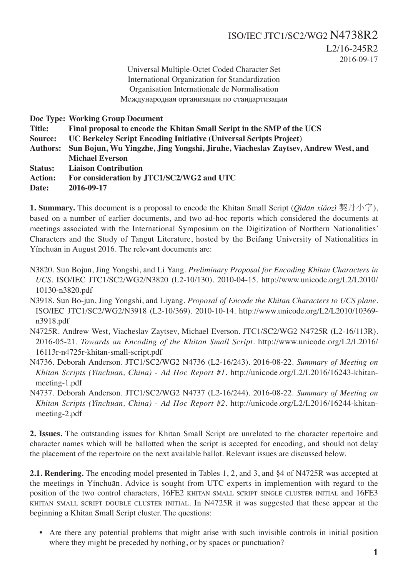2016-09-17

Universal Multiple-Octet Coded Character Set International Organization for Standardization Organisation Internationale de Normalisation Международная организация по стандартизации

**Doc Type: Working Group Document**

**Title: Final proposal to encode the Khitan Small Script in the SMP of the UCS**

**Source: UC Berkeley Script Encoding Initiative (Universal Scripts Project)**

**Authors: Sun Bojun, Wu Yingzhe, Jing Yongshi, Jiruhe, Viacheslav Zaytsev, Andrew West, and Michael Everson**

**Status: Liaison Contribution**

**Action: For consideration by JTC1/SC2/WG2 and UTC**

**Date: 2016-09-17**

**1. Summary.** This document is a proposal to encode the Khitan Small Script (*Qìdān xiǎozì* 契丹小字), based on a number of earlier documents, and two ad-hoc reports which considered the documents at meetings associated with the International Symposium on the Digitization of Northern Nationalities' Characters and the Study of Tangut Literature, hosted by the Beifang University of Nationalities in Yínchuān in August 2016. The relevant documents are:

- N3820. Sun Bojun, Jing Yongshi, and Li Yang. *Preliminary Proposal for Encoding Khitan Characters in UCS.* ISO/IEC JTC1/SC2/WG2/N3820 (L2-10/130). 2010-04-15. http://www.unicode.org/L2/L2010/ 10130-n3820.pdf
- N3918. Sun Bo-jun, Jing Yongshi, and Liyang. *Proposal of Encode the Khitan Characters to UCS plane*. ISO/IEC JTC1/SC2/WG2/N3918 (L2-10/369). 2010-10-14. http://www.unicode.org/L2/L2010/10369 n3918.pdf
- N4725R. Andrew West, Viacheslav Zaytsev, Michael Everson. JTC1/SC2/WG2 N4725R (L2-16/113R). 2016-05-21. *Towards an Encoding of the Khitan Small Script*. http://www.unicode.org/L2/L2016/ 16113r-n4725r-khitan-small-script.pdf
- N4736. Deborah Anderson. JTC1/SC2/WG2 N4736 (L2-16/243). 2016-08-22. *Summary of Meeting on Khitan Scripts (Yinchuan, China) - Ad Hoc Report #1*. http://unicode.org/L2/L2016/16243-khitanmeeting-1.pdf
- N4737. Deborah Anderson. JTC1/SC2/WG2 N4737 (L2-16/244). 2016-08-22. *Summary of Meeting on Khitan Scripts (Yinchuan, China) - Ad Hoc Report #2*. http://unicode.org/L2/L2016/16244-khitanmeeting-2.pdf

**2. Issues.** The outstanding issues for Khitan Small Script are unrelated to the character repertoire and character names which will be ballotted when the script is accepted for encoding, and should not delay the placement of the repertoire on the next available ballot. Relevant issues are discussed below.

**2.1. Rendering.** The encoding model presented in Tables 1, 2, and 3, and §4 of N4725R was accepted at the meetings in Yínchuān. Advice is sought from UTC experts in implemention with regard to the position of the two control characters, 16FE2 KHITAN SMALL SCRIPT SINGLE CLUSTER INITIAL and 16FE3 KHITAN SMALL SCRIPT DOUBLE CLUSTER INITIAL. In N4725R it was suggested that these appear at the beginning a Khitan Small Script cluster. The questions:

• Are there any potential problems that might arise with such invisible controls in initial position where they might be preceded by nothing, or by spaces or punctuation?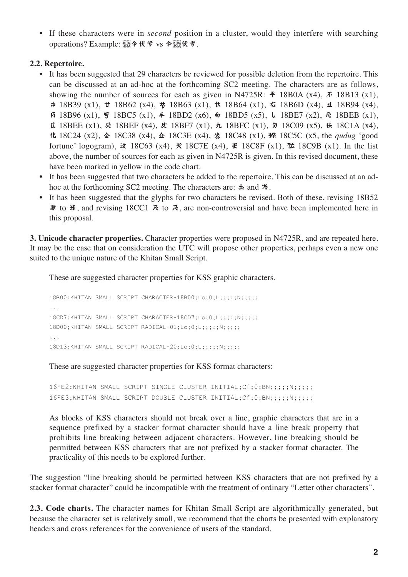• If these characters were in *second* position in a cluster, would they interfere with searching operations? Example:  $\frac{1}{2}$ cus  $\triangleq$   $\triangleq$  vs  $\triangleq$   $\frac{1}{2}$ cus  $\triangleq$   $\triangleq$ .

## **2.2. Repertoire.**

- It has been suggested that 29 characters be reviewed for possible deletion from the repertoire. This can be discussed at an ad-hoc at the forthcoming SC2 meeting. The characters are as follows, showing the number of sources for each as given in N4725R:  $\vec{\mathbf{r}}$  18B0A (x4),  $\vec{\mathbf{r}}$  18B13 (x1),  $\#$  18B39 (x1),  $\#$  18B62 (x4),  $\#$  18B63 (x1),  $\#$  18B64 (x1),  $\#$  18B6D (x4),  $\#$  18B94 (x4), 13 18B96 (x1),  $\frac{1}{3}$  18BC5 (x1),  $\frac{1}{2}$  18BD2 (x6),  $\frac{1}{2}$  18BD5 (x5),  $\frac{1}{2}$  18BE7 (x2),  $\frac{1}{2}$  18BEB (x1),  $\pi$  18BEE (x1),  $\bar{\mathcal{R}}$  18BEF (x4),  $\bar{\mathcal{R}}$  18BF7 (x1),  $\bar{\mathcal{R}}$  18BFC (x1),  $\bar{\mathcal{R}}$  18C09 (x5),  $\dot{\mathcal{R}}$  18C1A (x4), 18C24 (x2), 18C38 (x4), 18C3E (x4), 18C48 (x1), 18C5C (x5, the *qudug* 'good fortune' logogram),  $\dot{\mathcal{R}}$  18C63 (x4),  $\dot{\mathcal{R}}$  18C7E (x4),  $\dot{\mathcal{F}}$  18C8F (x1),  $\dot{\mathcal{R}}$  18C9B (x1). In the list above, the number of sources for each as given in N4725R is given. In this revised document, these have been marked in yellow in the code chart.
- It has been suggested that two characters be added to the repertoire. This can be discussed at an adhoc at the forthcoming SC2 meeting. The characters are:  $\pm$  and  $\frac{1}{2}$ .
- It has been suggested that the glyphs for two characters be revised. Both of these, revising 18B52 **#** to **#**, and revising 18CC1  $\vec{\mathcal{R}}$  to  $\vec{\mathcal{R}}$ , are non-controversial and have been implemented here in this proposal.

**3. Unicode character properties.** Character properties were proposed in N4725R, and are repeated here. It may be the case that on consideration the UTC will propose other properties, perhaps even a new one suited to the unique nature of the Khitan Small Script.

These are suggested character properties for KSS graphic characters.

18B00;KHITAN SMALL SCRIPT CHARACTER-18B00;Lo;0;L;;;;;N;;;;;; ... 18CD7;KHITAN SMALL SCRIPT CHARACTER-18CD7;Lo;0;L;;;;N;;;;;; 18D00;KHITAN SMALL SCRIPT RADICAL-01;Lo;0;L;;;;;N;;;;;; ... 18D13;KHITAN SMALL SCRIPT RADICAL-20;Lo;0;L;;;;;N;;;;;

These are suggested character properties for KSS format characters:

16FE2;KHITAN SMALL SCRIPT SINGLE CLUSTER INITIAL;Cf;0;BN;;;;;N;;;;; 16FE3;KHITAN SMALL SCRIPT DOUBLE CLUSTER INITIAL;Cf;0;BN;;;;;N;;;;;

As blocks of KSS characters should not break over a line, graphic characters that are in a sequence prefixed by a stacker format character should have a line break property that prohibits line breaking between adjacent characters. However, line breaking should be permitted between KSS characters that are not prefixed by a stacker format character. The practicality of this needs to be explored further.

The suggestion "line breaking should be permitted between KSS characters that are not prefixed by a stacker format character" could be incompatible with the treatment of ordinary "Letter other characters".

**2.3. Code charts.** The character names for Khitan Small Script are algorithmically generated, but because the character set is relatively small, we recommend that the charts be presented with explanatory headers and cross references for the convenience of users of the standard.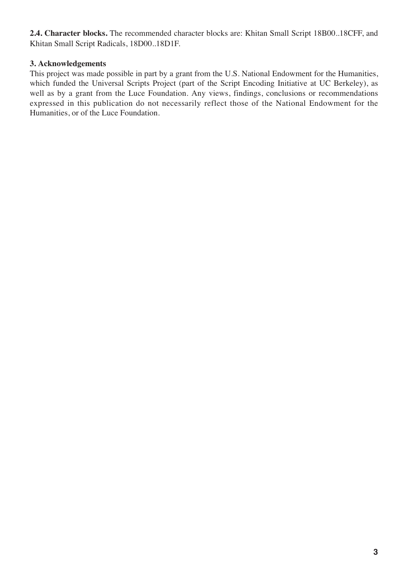**2.4. Character blocks.** The recommended character blocks are: Khitan Small Script 18B00..18CFF, and Khitan Small Script Radicals, 18D00..18D1F.

## **3. Acknowledgements**

This project was made possible in part by a grant from the U.S. National Endowment for the Humanities, which funded the Universal Scripts Project (part of the Script Encoding Initiative at UC Berkeley), as well as by a grant from the Luce Foundation. Any views, findings, conclusions or recommendations expressed in this publication do not necessarily reflect those of the National Endowment for the Humanities, or of the Luce Foundation.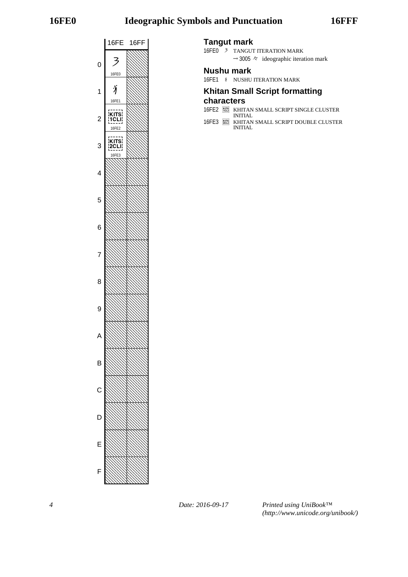# **16FE0 Ideographic Symbols and Punctuation 16FFF**



## **Tangut mark**

16FE0 3 TANGUT ITERATION MARK  $\rightarrow$  3005  $\approx$  ideographic iteration mark

## **Nushu mark**

16FE1  $\sqrt{ }$  NUSHU ITERATION MARK

## **Khitan Small Script formatting**

## **characters**

- 16FE2 KHITAN SMALL SCRIPT SINGLE CLUSTER INITIAL
- 16FE3 KHITAN SMALL SCRIPT DOUBLE CLUSTER INITIAL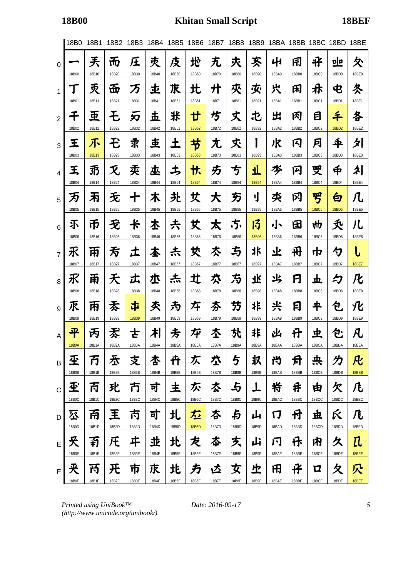|                | 18B0       | 18B1       | 18B2       | 18B3       | 18B4       | 18B5       | 18B6       | 18B7       | 18B8       | 18B9        |             |              | 18BA 18BB 18BC 18BD |               | 18BE            |
|----------------|------------|------------|------------|------------|------------|------------|------------|------------|------------|-------------|-------------|--------------|---------------------|---------------|-----------------|
| 0              | 18B00      | 兲<br>18B10 | 而<br>18B20 | 圧<br>18B30 | 灻<br>18B40 | 庋<br>18B50 | 地<br>18B60 | 无<br>18B70 | 灻<br>18B80 | 亥<br>18B90  | 41<br>18BA0 | 闬<br>18BB0   | ザ<br><b>18BC0</b>   | 뽀<br>18BD0    | 仌<br>18BE0      |
| 1              | Ţ          | 灭          | 岙          | 万          | 丠          | 求          | 北          | 廾          | 夾          | 夾           | 宍           | 闲            | 尗                   | 电             | 冬               |
|                | 18B01      | 18B11      | 18B21      | 18B31      | 18B41      | 18B51      | 18B61      | 18B71      | 18B81      | 18B91       | 18BA1       | 18BB1        | 18BC1               | 18BD1         | 18BE1           |
| $\overline{2}$ | チ          | 亜          | モ          | 刃          | 玉          | 米          | ₩          | 芍          | 丈          | 屯           | 出           | 冈            | 目                   | 千             | 各               |
|                | 18B02      | 18B12      | 18B22      | 18B32      | 18B42      | 18B52      | 18B62      | 18B72      | 18B82      | 18B92       | 18BA2       | 18BB2        | 18BC2               | 18BD2         | 18BE2           |
| 3              | 王          | 不          | モ          | 求          | 吏          | 土          | 节          | 尢          | 秂          | I           | 沢           | 闪            | 月                   | $\frac{4}{5}$ | 夕               |
|                | 18B03      | 18B13      | 18B23      | 18B33      | 18B43      | 18B53      | 18B63      | 18B73      | 18B83      | 18B93       | 18BA3       | 18BB3        | 18BC3               | 18BD3         | 18BE3           |
| $\overline{4}$ | 王          | 羽          | 灭          | 卖          | 巫          | ち          | 忕          | 艻          | 亐          | 丌           | 水           | 14           | 受                   | Ф             | え               |
|                | 18B04      | 18B14      | 18B24      | 18B34      | 18B44      | 18B54      | 18B64      | 18B74      | 18B84      | 18B94       | 18BA4       | 18BB4        | 18BC4               | 18BD4         | 18BE4           |
| 5              | 万<br>18B05 | 闲<br>18B15 | 无<br>18B25 | 18B35      | 木<br>18B45 | 圥<br>18B55 | 丈<br>18B65 | 大<br>18B75 | 万<br>18B85 | IJ<br>18B95 | 氼<br>18BA5  | 冈<br>18BB5   | 罗<br><b>18BC5</b>   | 白<br>18BD5    | Л.<br>18BE5     |
| 6              | 不          | 币          | 无          | 卡          | 本          | 尗          | 艾          | 太          | .5.        | 13          | 小           | 田            | 4ф                  | 秂             | 儿               |
|                | 18B06      | 18B16      | 18B26      | 18B36      | 18B46      | 18B56      | 18B66      | 18B76      | 18B86      | 18B96       | 18BA6       | 18BB6        | <b>18BC6</b>        | 18BD6         | 18BE6           |
| $\overline{7}$ | 乑<br>18B07 | 帀<br>18B17 | 亐<br>18B27 | エ<br>18B37 | 本<br>18B47 | 志<br>18B57 | 犮<br>18B67 | 亽<br>18B77 | 与<br>18B87 | 氺<br>18B97  | 业<br>18BA7  | 毌<br>18BB7   | 巾<br>18BC7          | ク<br>18BD7    | 18BE7           |
| 8              | 氷          | 甬          | 天          | 広          | 朩          | 杰          | 辻          | 亽          | 方          | 飞           | 氺           | F            | 立                   | 夕             | 化               |
|                | 18B08      | 18B18      | 18B28      | 18B38      | 18B48      | 18B58      | 18B68      | 18B78      | 18B88      | 18B98       | 18BA8       | <b>18BB8</b> | <b>18BC8</b>        | 18BD8         | 18BE8           |
| 9              | 乑          | 丙          | 禾          | 中          | 秂          | 为          | 圩          | 夯          | 芀          | 非           | 兴           | 冃            | ቸ                   | 包             | 化               |
|                | 18B09      | 18B19      | 18B29      | 18B39      | 18B49      | 18B59      | 18B69      | 18B79      | 18B89      | 18B99       | 18BA9       | 18BB9        | <b>18BC9</b>        | 18BD9         | 18BE9           |
| A              | 平          | 丙          | 孞          | さ          | 朾          | 方          | 埣          | 杢          | 찻          | 非           | 凶           | 廿            | 史                   | 包             | 凡               |
|                | 18B0A      | 18B1A      | 18B2A      | 18B3A      | 18B4A      | 18B5A      | 18B6A      | 18B7A      | 18B8A      | 18B9A       | 18BAA       | 18BBA        | 18BCA               | 18BDA         | 18BEA           |
| B              | 丕          | 万          | 厺          | 支          | 杏          | 开          | 仄          | 垃          | 与          | 圦           | 兯           | 月            | 共                   | 力             | 凡               |
|                | 18B0B      | 18B1B      | 18B2B      | 18B3B      | 18B4B      | 18B5B      | 18B6B      | 18B7B      | 18B8B      | 18B9B       | 18BAB       | 18BBB        | 18BCB               | 18BDB         | 18BEB           |
| $\mathsf{C}$   | 玊          | 丙          | 玭          | 方          | 寸          | 主          | 尓          | 厺          | 与          | ┻           | 峟           | 井            | 由                   | 欠             | 几               |
|                | 18B0C      | 18B1C      | 18B2C      | 18B3C      | 18B4C      | 18B5C      | 18B6C      | 18B7C      | 18B8C      | 18B9C       | 18BAC       | 18BBC        | 18BCC               | 18BDC         | 18BEC           |
| D              | 公          | 甬          | 王          | 丙          | 可          | 圠          | 厷          | 本          | 与          | 山           | 门           | 付            | 坦                   | Ŕ             | 厇               |
| E              | 18B0D      | 18B1D      | 18B2D      | 18B3D      | 18B4D      | 18B5D      | 18B6D      | 18B7D      | 18B8D      | 18B9D       | 18BAD       | 18BBD        | 18BCD               | 18BDD         | 18BED           |
|                | 夭          | 有          | 圧          | ヰ          | 丠          | 北          | 龙          | 夲          | 炗          | 山           | 闩           | 伃            | 内                   | 久             | ${\mathfrak n}$ |
| F              | 18B0E      | 18B1E      | 18B2E      | 18B3E      | 18B4E      | 18B5E      | 18B6E      | 18B7E      | 18B8E      | 18B9E       | 18BAE       | 18BBE        | 18BCE               | 18BDE         | 18BEE           |
|                | 夹          | 丙          | 开          | 帀          | 朿          | 歨          | 方          | 兦          | 女          | 上           | 田           | 仔            | Д                   | 夂             | 穴               |
|                | 18B0F      | 18B1F      | 18B2F      | 18B3F      | 18B4F      | 18B5F      | 18B6F      | 18B7F      | 18B8F      | 18B9F       | 18BAF       | 18BBF        | 18BCF               | 18BDF         | 18BEF           |

*Printed using UniBook™ (http://www.unicode.org/unibook/)*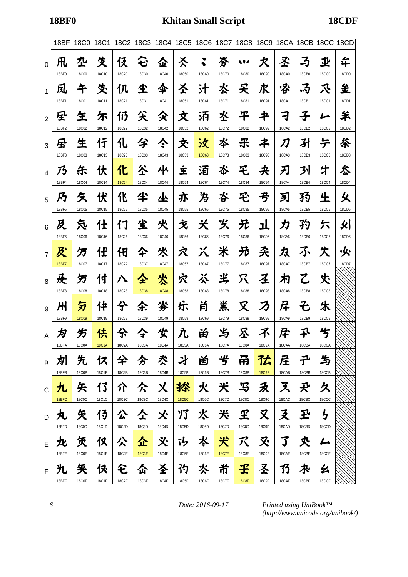|                | 18BF       | 18C0              | 18C1              |                   | 18C2 18C3         |                   |                    |                   |                   |                          |                   |                   |                   |                                                                                                                         | 18C4 18C5 18C6 18C7 18C8 18C9 18CA 18CB 18CC 18CD |
|----------------|------------|-------------------|-------------------|-------------------|-------------------|-------------------|--------------------|-------------------|-------------------|--------------------------|-------------------|-------------------|-------------------|-------------------------------------------------------------------------------------------------------------------------|---------------------------------------------------|
| $\overline{0}$ | 凡<br>18BF0 | 卆<br><b>18C00</b> | 夊<br>18C10        | 伇<br>18C20        | 仑<br>18C30        | 企<br>18C40        | 亽<br><b>18C50</b>  | ◥<br>◥<br>18C60   | 岑<br>18C70        | w<br><b>18C80</b>        | 犬<br>18C90        | 圣<br><b>18CA0</b> | 孑<br>18CB0        | 丠<br><b>18CC0</b>                                                                                                       | 华<br>18CD0                                        |
| $\mathbf{1}$   | 凤<br>18BF1 | 午<br><b>18C01</b> | 夊<br>18C11        | 仈<br>18C21        | 尘<br>18C31        | 伞<br>18C41        | 圣<br><b>18C51</b>  | 汁<br><b>18C61</b> | 氺<br>18C71        | 夭<br><b>18C81</b>        | 求<br>18C91        | 冷<br><b>18CA1</b> | ふ<br>18CB1        | 氶<br><b>18CC1</b>                                                                                                       | 主<br>18CD1                                        |
| $\overline{2}$ | 星<br>18BF2 | 玍<br><b>18C02</b> | 尓<br>18C12        | 仍<br>18C22        | 矢<br>18C32        | 父<br>18C42        | 文<br>18C52         | 沰<br>18C62        | 氺<br>18C72        | 干<br><b>18C82</b>        | 书<br><b>18C92</b> | ╕<br>18CA2        | 子<br>18CB2        | <b>18CC2</b>                                                                                                            | 羊<br>18CD2                                        |
| 3              | 尽<br>18BF3 | 生<br><b>18C03</b> | 行<br>18C13        | 化<br>18C23        | 兮<br>18C33        | ぐ<br>18C43        | 氼<br>18C53         | 汝<br><b>18C63</b> | 氺<br>18C73        | 乐<br><b>18C83</b>        | ネ<br>18C93        | 刀<br>18CA3        | 孙<br>18CB3        | テ<br><b>18CC3</b>                                                                                                       | 枀<br>18CD3                                        |
| $\overline{4}$ | 乃<br>18BF4 | 乐<br><b>18C04</b> | 伏                 | 化<br><b>18C24</b> | 公                 | 사<br><b>18C44</b> | 主<br><b>18C54</b>  | 洦<br><b>18C64</b> | 岺<br>18C74        | 乇                        | 夬<br>18C94        | 刃<br>18CA4        | 列<br><b>18CB4</b> | 才<br><b>18CC4</b>                                                                                                       | 怂<br>18CD4                                        |
| 5              | 乃          | 夂                 | 18C14<br>伏        | 化                 | 18C34<br>半        | 坐                 | 亦                  | 为                 | 呇                 | <b>18C84</b><br>乇        | 亐                 | 习                 | 孖                 | 生                                                                                                                       | 乆                                                 |
| 6              | 18BF5<br>及 | <b>18C05</b><br>気 | 18C15<br>仕        | 18C25<br>17       | 18C35<br>尘        | 18C45<br>火        | <b>18C55</b><br>文  | 18C65<br>关        | 18C75<br>义        | <b>18C85</b><br>兄        | <b>18C95</b><br>ᅶ | <b>18CA5</b><br>カ | 18CB5<br>犳        | <b>18CC5</b><br>六                                                                                                       | 18CD5<br>火│                                       |
| $\overline{7}$ | 18BF6<br>及 | <b>18C06</b><br>万 | 18C16<br>任        | 18C26<br>佃        | 18C36<br>仐        | 18C46<br>氼        | <b>18C56</b><br>穴  | <b>18C66</b><br>メ | 18C76<br>米        | <b>18C86</b><br>兄        | <b>18C96</b><br>奀 | <b>18CA6</b><br>丸 | 18CB6<br>ふ        | <b>18CC6</b><br>失                                                                                                       | 18CD6<br>火                                        |
| 8              | 18BF7<br>及 | 18C07<br>另        | 18C17<br>付        | 18C27<br>ハ        | 18C37<br>仝        | 18C47<br>忩        | 18C57<br>穴         | 18C67<br>ぶ        | 18C77<br>半        | <b>18C87</b><br>穴        | 18C97<br>圣        | 18CA7<br>冇        | 18CB7<br>乙        | 18CC7<br>仧                                                                                                              | 18CD7                                             |
| 9              | 18BF8<br>州 | <b>18C08</b><br>匇 | <b>18C18</b><br>件 | 18C28<br>仐        | <b>18C38</b><br>余 | <b>18C48</b><br>岑 | <b>18C58</b><br>乐  | <b>18C68</b><br>肖 | 18C78<br>羔        | <b>18C88</b><br>又        | <b>18C98</b><br>ろ | <b>18CA8</b><br>厈 | <b>18CB8</b><br>そ | <b>18CC8</b><br>朱                                                                                                       |                                                   |
| $\overline{A}$ | 18BF9<br>为 | <b>18C09</b><br>竻 | 18C19<br>伕        | 18C29<br>仒        | 18C39<br>今        | 18C49<br>尖        | <b>18C59</b>       | 18C69<br>畄        | 18C79<br>与        | <b>18C89</b><br><b>不</b> | 18C99<br>不        | 18CA9<br>尽        | 18CB9<br>乑        | <b>18CC9</b><br>兮                                                                                                       |                                                   |
| B              | 18BFA<br>划 | 18C0A<br>先        | 18C1A<br>仅        | 18C2A<br>仐        | 18C3A<br>分        | 18C4A<br>氼        | 18C5A<br>才         | 18C6A<br>曽        | 18C7A<br>岁        | 18C8A<br>吊               | 18C9A<br>亿        | 18CAA<br>层        | 18CBA<br>ヹ゚       | 18CCA<br>与                                                                                                              |                                                   |
| $\mathsf C$    | 18BFB<br>九 | 18C0B<br>矢        | 18C1B<br>13       | 18C2B<br>介        | 18C3B<br>仌        | 18C4B<br>乂        | 18C5B<br>搽         | 18C6B<br>火        | 18C7B<br>关        | 18C8B<br>马               | <b>18C9B</b><br>ゑ | 18CAB<br>ス        | 18CBB<br>夭        | 18CCB<br>久                                                                                                              |                                                   |
| D              | 18BFC<br>丸 | <b>18C0C</b><br>矢 | 18C1C<br>13       | 18C2C<br>公        | 18C3C<br>仝        | 18C4C<br>仌        | <b>18C5C</b><br>13 | 18C6C<br>氺        | 18C7C<br>米        | <b>18C8C</b><br>£        | 18C9C<br>又        | 18CAC<br>爻        | 18CBC<br>玊        | 18CCC<br>りつけい しょうしょう しょうせい しゅうしょう しゅうしゅう しゅうしゅう しゅうしゅう しゅうしゅう しゅうしゅう しゅうしゅう しゅうしゅう しゅうしゅう しゅうしゅうしゅう しゅうしゅん しゅうしゅん しゅうしゅ |                                                   |
| E              | 18BFD<br>九 | 18C0D<br>赁        | 18C1D<br>仅        | 18C2D<br>公        | 18C3D<br>企        | 18C4D<br>义        | 18C5D<br>゙゙゙゙゙゚ゎ   | 18C6D<br>氺        | 18C7D<br>犬        | 18C8D<br>ス               | 18C9D<br>又        | 18CAD<br>了        | 18CBD<br>氼        | 18CCD<br>ム                                                                                                              |                                                   |
|                | 18BFE<br>九 | <b>18C0E</b><br>釆 | 18C1E<br>佟        | 18C2E<br>仑        | 18C3E<br>仚        | 18C4E<br>圣        | 18C5E<br>礿         | 18C6E<br>氺        | <b>18C7E</b><br>芇 | 18C8E<br>壬               | 18C9E<br>圣        | 18CAE<br>33       | 18CBE<br>水        | 18CCE<br>幺                                                                                                              |                                                   |
| F              | 18BFF      | <b>18C0F</b>      | <b>18C1F</b>      | 18C2F             | 18C3F             | <b>18C4F</b>      | <b>18C5F</b>       | 18C6F             | <b>18C7F</b>      | <b>18C8F</b>             | <b>18C9F</b>      | 18CAF             | 18CBF             | 18CCF                                                                                                                   |                                                   |

*6 Date: 2016-09-17*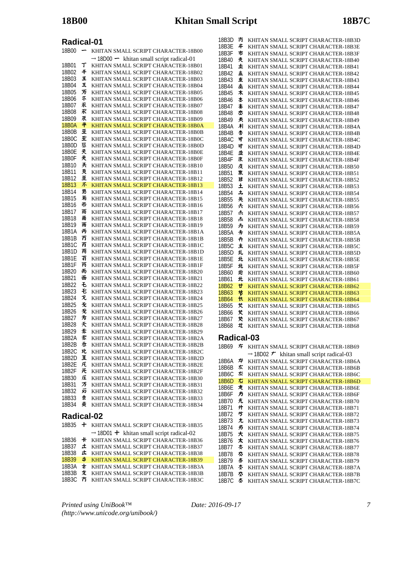## **Radical-01**

| 18B00          | —      | KHITAN SMALL SCRIPT CHARACTER-18B00                                        |
|----------------|--------|----------------------------------------------------------------------------|
|                |        | $\rightarrow$ 18D00 $\rightarrow$ khitan small script radical-01           |
| 18B01          | т      | KHITAN SMALL SCRIPT CHARACTER-18B01                                        |
| 18B02          | 千      | KHITAN SMALL SCRIPT CHARACTER-18B02                                        |
| 18B03          | Ξ      | KHITAN SMALL SCRIPT CHARACTER-18B03                                        |
| 18B04          | 王      | KHITAN SMALL SCRIPT CHARACTER-18B04                                        |
| 18B05          | 万<br>示 | KHITAN SMALL SCRIPT CHARACTER-18B05                                        |
| 18B06<br>18B07 | 禾      | KHITAN SMALL SCRIPT CHARACTER-18B06<br>KHITAN SMALL SCRIPT CHARACTER-18B07 |
| 18B08          | 乑      | KHITAN SMALL SCRIPT CHARACTER-18B08                                        |
| 18B09          | 朿      | KHITAN SMALL SCRIPT CHARACTER-18B09                                        |
| 18B0A          | 平      | KHITAN SMALL SCRIPT CHARACTER-18B0A                                        |
| 18B0B          | 坕      | KHITAN SMALL SCRIPT CHARACTER-18B0B                                        |
| 18B0C          | 至      | KHITAN SMALL SCRIPT CHARACTER-18B0C                                        |
| 18B0D          | 狉      | KHITAN SMALL SCRIPT CHARACTER-18B0D                                        |
| 18B0E          | 天      | KHITAN SMALL SCRIPT CHARACTER-18B0E                                        |
| 18B0F          | 夹      | KHITAN SMALL SCRIPT CHARACTER-18B0F                                        |
| 18B10          | 兲<br>灭 | KHITAN SMALL SCRIPT CHARACTER-18B10                                        |
| 18B11<br>18B12 | 重      | KHITAN SMALL SCRIPT CHARACTER-18B11<br>KHITAN SMALL SCRIPT CHARACTER-18B12 |
| 18B13          | 不      | KHITAN SMALL SCRIPT CHARACTER-18B13                                        |
| 18B14          | 羽      | KHITAN SMALL SCRIPT CHARACTER-18B14                                        |
| 18B15          | 耓      | KHITAN SMALL SCRIPT CHARACTER-18B15                                        |
| 18B16          | 币      | KHITAN SMALL SCRIPT CHARACTER-18B16                                        |
| 18B17          | 雨      | KHITAN SMALL SCRIPT CHARACTER-18B17                                        |
| 18B18          | 雨      | KHITAN SMALL SCRIPT CHARACTER-18B18                                        |
| 18B19          | 雨      | KHITAN SMALL SCRIPT CHARACTER-18B19                                        |
| 18B1A<br>18B1B | 丙<br>冇 | KHITAN SMALL SCRIPT CHARACTER-18B1A                                        |
| 18B1C          | 丙      | KHITAN SMALL SCRIPT CHARACTER-18B1B<br>KHITAN SMALL SCRIPT CHARACTER-18B1C |
| 18B1D          | 甬      | KHITAN SMALL SCRIPT CHARACTER-18B1D                                        |
| 18B1E          | 有      | KHITAN SMALL SCRIPT CHARACTER-18B1E                                        |
| 18B1F          | 芮      | KHITAN SMALL SCRIPT CHARACTER-18B1F                                        |
| 18B20          | 而      | KHITAN SMALL SCRIPT CHARACTER-18B20                                        |
| 18B21          | 面      | KHITAN SMALL SCRIPT CHARACTER-18B21                                        |
| 18B22          | £      | KHITAN SMALL SCRIPT CHARACTER-18B22                                        |
| 18B23          | Ð      | KHITAN SMALL SCRIPT CHARACTER-18B23                                        |
| 18B24<br>18B25 | 灭<br>叐 | KHITAN SMALL SCRIPT CHARACTER-18B24<br>KHITAN SMALL SCRIPT CHARACTER-18B25 |
| 18B26          | 无      | KHITAN SMALL SCRIPT CHARACTER-18B26                                        |
| 18B27          | 亐      | KHITAN SMALL SCRIPT CHARACTER-18B27                                        |
| 18B28          | 夭      | KHITAN SMALL SCRIPT CHARACTER-18B28                                        |
| 18B29          | 沗      | KHITAN SMALL SCRIPT CHARACTER-18B29                                        |
| 18B2A          | 禾      | KHITAN SMALL SCRIPT CHARACTER-18B2A                                        |
| 18B2B          | 岙      | KHITAN SMALL SCRIPT CHARACTER-18B2B                                        |
| 18B2C          | 玭      | KHITAN SMALL SCRIPT CHARACTER-18B2C                                        |
| 18B2D          | 王<br>圧 | KHITAN SMALL SCRIPT CHARACTER-18B2D                                        |
| 18B2E<br>18B2F | 开      | KHITAN SMALL SCRIPT CHARACTER-18B2E<br>KHITAN SMALL SCRIPT CHARACTER-18B2F |
| 18B30          | 圧      | KHITAN SMALL SCRIPT CHARACTER-18B30                                        |
| 18B31          | 万      | KHITAN SMALL SCRIPT CHARACTER-18B31                                        |
| 18B32          | 另      | KHITAN SMALL SCRIPT CHARACTER-18B32                                        |
| 18B33          | 汞      | KHITAN SMALL SCRIPT CHARACTER-18B33                                        |
| 18B34          | 卖      | KHITAN SMALL SCRIPT CHARACTER-18B34                                        |
| Radical-02     |        |                                                                            |
| 18B35          | ╈      | KHITAN SMALL SCRIPT CHARACTER-18B35                                        |
|                |        | $\rightarrow$ 18D01 $\pm$ khitan small script radical-02                   |
| 18B36          | ₭      | KHITAN SMALL SCRIPT CHARACTER-18B36                                        |
| 18B37          | 土      | KHITAN SMALL SCRIPT CHARACTER-18B37                                        |
| 18B38          | 圡      | KHITAN SMALL SCRIPT CHARACTER-18B38                                        |
| 18B39          | \$     | KHITAN SMALL SCRIPT CHARACTER-18B39                                        |

| 18B3E      | # | KHITAN SMALL SCRIPT CHARACTER-18B3E                          |
|------------|---|--------------------------------------------------------------|
| 18B3F      | 市 | KHITAN SMALL SCRIPT CHARACTER-18B3F                          |
| 18B40      | 灻 | KHITAN SMALL SCRIPT CHARACTER-18B40                          |
| 18B41      | 圡 | KHITAN SMALL SCRIPT CHARACTER-18B41                          |
| 18B42      | 圡 | KHITAN SMALL SCRIPT CHARACTER-18B42                          |
| 18B43      | 重 | KHITAN SMALL SCRIPT CHARACTER-18B43                          |
| 18B44      | 桽 | KHITAN SMALL SCRIPT CHARACTER-18B44                          |
| 18B45      | ォ | KHITAN SMALL SCRIPT CHARACTER-18B45                          |
| 18B46      | 本 | KHITAN SMALL SCRIPT CHARACTER-18B46                          |
| 18B47      | 本 | KHITAN SMALL SCRIPT CHARACTER-18B47                          |
| 18B48      | 朩 | KHITAN SMALL SCRIPT CHARACTER-18B48                          |
| 18B49      | 秂 | KHITAN SMALL SCRIPT CHARACTER-18B49                          |
| 18B4A      | 치 | KHITAN SMALL SCRIPT CHARACTER-18B4A                          |
| 18B4B      | 杏 | KHITAN SMALL SCRIPT CHARACTER-18B4B                          |
| 18B4C      | 寸 | KHITAN SMALL SCRIPT CHARACTER-18B4C                          |
| 18B4D      | 寸 | KHITAN SMALL SCRIPT CHARACTER-18B4D                          |
| 18B4E      | 丠 | KHITAN SMALL SCRIPT CHARACTER-18B4E                          |
| 18B4F      | 朿 | KHITAN SMALL SCRIPT CHARACTER-18B4F                          |
| 18B50      | 庋 | KHITAN SMALL SCRIPT CHARACTER-18B50                          |
| 18B51      | 朿 | KHITAN SMALL SCRIPT CHARACTER-18B51                          |
| 18B52      | # | KHITAN SMALL SCRIPT CHARACTER-18B52                          |
| 18B53      | 土 | KHITAN SMALL SCRIPT CHARACTER-18B53                          |
| 18B54      | 圡 | KHITAN SMALL SCRIPT CHARACTER-18B54                          |
| 18B55      | 圥 | KHITAN SMALL SCRIPT CHARACTER-18B55                          |
| 18B56      | 尗 | KHITAN SMALL SCRIPT CHARACTER-18B56                          |
| 18B57      | 赤 | KHITAN SMALL SCRIPT CHARACTER-18B57                          |
| 18B58      | 杰 | KHITAN SMALL SCRIPT CHARACTER-18B58                          |
| 18B59      | 为 | KHITAN SMALL SCRIPT CHARACTER-18B59                          |
| 18B5A      | 圥 | KHITAN SMALL SCRIPT CHARACTER-18B5A                          |
| 18B5B      | ╇ | KHITAN SMALL SCRIPT CHARACTER-18B5B                          |
| 18B5C      | 主 | KHITAN SMALL SCRIPT CHARACTER-18B5C                          |
| 18B5D      | 圠 | KHITAN SMALL SCRIPT CHARACTER-18B5D                          |
| 18B5E      | 北 | KHITAN SMALL SCRIPT CHARACTER-18B5E                          |
| 18B5F      | 北 | KHITAN SMALL SCRIPT CHARACTER-18B5F                          |
| 18B60      | 地 | KHITAN SMALL SCRIPT CHARACTER-18B60                          |
| 18B61      | 北 | KHITAN SMALL SCRIPT CHARACTER-18B61                          |
| 18B62      | ₩ | KHITAN SMALL SCRIPT CHARACTER-18B62                          |
| 18B63      | 节 | KHITAN SMALL SCRIPT CHARACTER-18B63                          |
| 18B64      | 忕 | KHITAN SMALL SCRIPT CHARACTER-18B64                          |
| 18B65      | 艾 | KHITAN SMALL SCRIPT CHARACTER-18B65                          |
| 18B66      | 艾 | KHITAN SMALL SCRIPT CHARACTER-18B66                          |
| 18B67      | で | KHITAN SMALL SCRIPT CHARACTER-18B67                          |
| 18B68      | 圵 | KHITAN SMALL SCRIPT CHARACTER-18B68                          |
| Radical-03 |   |                                                              |
| 18B69      | 圷 | KHITAN SMALL SCRIPT CHARACTER-18B69                          |
|            |   | $\rightarrow$ 18D02 $\tau$<br>khitan small script radical-03 |
| 18B6A      | 炉 | KHITAN SMALL SCRIPT CHARACTER-18B6A                          |
| 18B6B      | 厷 | KHITAN SMALL SCRIPT CHARACTER-18B6B                          |
| 18B6C      | 夵 | KHITAN SMALL SCRIPT CHARACTER-18B6C                          |
| 18B6D      | 厷 | KHITAN SMALL SCRIPT CHARACTER-18B6D                          |
| 18B6E      | 龙 | KHITAN SMALL SCRIPT CHARACTER-18B6E                          |
|            |   |                                                              |

18B6F 方 KHITAN SMALL SCRIPT CHARACTER-18B6F 18B70 *丸* KHITAN SMALL SCRIPT CHARACTER-18B70<br>18B71 **廾** KHITAN SMALL SCRIPT CHARACTER-18B71 18B71 **H** KHITAN SMALL SCRIPT CHARACTER-18B71<br>18B72 **5** KHITAN SMALL SCRIPT CHARACTER-18B72

18B73  $\hbar$  KHITAN SMALL SCRIPT CHARACTER-18B73 18B74 方 KHITAN SMALL SCRIPT CHARACTER-18B74 18B75  $\star$  KHITAN SMALL SCRIPT CHARACTER-18B75 18B76  $\star$  KHITAN SMALL SCRIPT CHARACTER-18B76 18B77 KHITAN SMALL SCRIPT CHARACTER-18B77 18B78 KHITAN SMALL SCRIPT CHARACTER-18B78

18B7A KHITAN SMALL SCRIPT CHARACTER-18B7A 18B7B 参 KHITAN SMALL SCRIPT CHARACTER-18B7B 18B7C KHITAN SMALL SCRIPT CHARACTER-18B7C

KHITAN SMALL SCRIPT CHARACTER-18B72

KHITAN SMALL SCRIPT CHARACTER-18B79

18B3D KHITAN SMALL SCRIPT CHARACTER-18B3D

*Printed using UniBook™ (http://www.unicode.org/unibook/)*

18B3A \* KHITAN SMALL SCRIPT CHARACTER-18B3A 18B3B 支 KHITAN SMALL SCRIPT CHARACTER-18B3B 18B3C 方 KHITAN SMALL SCRIPT CHARACTER-18B3C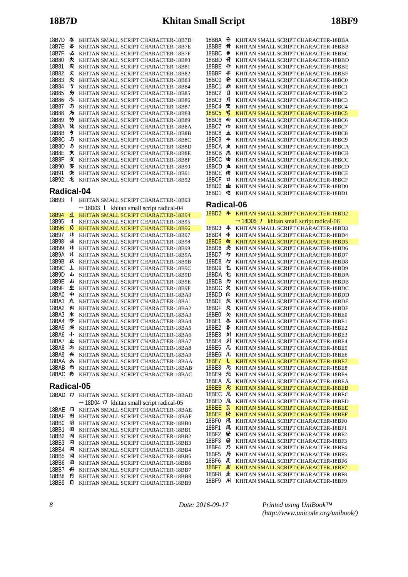| 18B7D      | 本   | KHITAN SMALL SCRIPT CHARACTER-18B7D                     |
|------------|-----|---------------------------------------------------------|
| 18B7E      | 本   | KHITAN SMALL SCRIPT CHARACTER-18B7E                     |
| 18B7F      | 迏   | KHITAN SMALL SCRIPT CHARACTER-18B7F                     |
| 18B80      | 灻   | KHITAN SMALL SCRIPT CHARACTER-18B80                     |
| 18B81      | 夾   | KHITAN SMALL SCRIPT CHARACTER-18B81                     |
| 18B82      | 丈   | KHITAN SMALL SCRIPT CHARACTER-18B82                     |
| 18B83      | 灻   | KHITAN SMALL SCRIPT CHARACTER-18B83                     |
| 18B84      | 亐   | KHITAN SMALL SCRIPT CHARACTER-18B84                     |
| 18B85      | 艻   | KHITAN SMALL SCRIPT CHARACTER-18B85                     |
| 18B86      | .5. | KHITAN SMALL SCRIPT CHARACTER-18B86                     |
| 18B87      | 与   | KHITAN SMALL SCRIPT CHARACTER-18B87                     |
| 18B88      | 方   | KHITAN SMALL SCRIPT CHARACTER-18B88                     |
| 18B89      | 芀   | KHITAN SMALL SCRIPT CHARACTER-18B89                     |
| 18B8A      | 圦   | KHITAN SMALL SCRIPT CHARACTER-18B8A                     |
| 18B8B      | 5   | KHITAN SMALL SCRIPT CHARACTER-18B8B                     |
| 18B8C      | 5   | KHITAN SMALL SCRIPT CHARACTER-18B8C                     |
| 18B8D      | 45  | KHITAN SMALL SCRIPT CHARACTER-18B8D                     |
| 18B8E      | 芖   | KHITAN SMALL SCRIPT CHARACTER-18B8E                     |
| 18B8F      | 女   | KHITAN SMALL SCRIPT CHARACTER-18B8F                     |
| 18B90      | 紊   | KHITAN SMALL SCRIPT CHARACTER-18B90                     |
| 18B91      | 夾   | KHITAN SMALL SCRIPT CHARACTER-18B91                     |
| 18B92      | 屯   | KHITAN SMALL SCRIPT CHARACTER-18B92                     |
|            |     |                                                         |
| Radical-04 |     |                                                         |
| 18B93      |     | KHITAN SMALL SCRIPT CHARACTER-18B93                     |
|            |     | khitan small script radical-04<br>$\rightarrow$ 18D03 1 |
| 18B94      | Ł   | KHITAN SMALL SCRIPT CHARACTER-18B94                     |
| 18B95      | ij  | KHITAN SMALL SCRIPT CHARACTER-18B95                     |
| 18B96      | 13  | KHITAN SMALL SCRIPT CHARACTER-18B96                     |
| 18B97      | 氺   | KHITAN SMALL SCRIPT CHARACTER-18B97                     |
| 18B98      | ŦŖ  | KHITAN SMALL SCRIPT CHARACTER-18B98                     |
| 19R00      | ᆙ   | <b>VUITAN CMALL CODIDT CUAD ACTED 19D00</b>             |

| 18B94 | ᄮ  | KHITAN SMALL SCRIPT CHARACTER-18B94 |
|-------|----|-------------------------------------|
| 18B95 | ij | KHITAN SMALL SCRIPT CHARACTER-18B95 |
| 18B96 | 13 | KHITAN SMALL SCRIPT CHARACTER-18B96 |
| 18B97 | 兆  | KHITAN SMALL SCRIPT CHARACTER-18B97 |
| 18B98 | 飞  | KHITAN SMALL SCRIPT CHARACTER-18B98 |
| 18B99 | 非  | KHITAN SMALL SCRIPT CHARACTER-18B99 |
| 18B9A | 非  | KHITAN SMALL SCRIPT CHARACTER-18B9A |
| 18B9B | 拟  | KHITAN SMALL SCRIPT CHARACTER-18B9B |
| 18B9C | T  | KHITAN SMALL SCRIPT CHARACTER-18B9C |
| 18B9D | بل | KHITAN SMALL SCRIPT CHARACTER-18B9D |
| 18B9E | نل | KHITAN SMALL SCRIPT CHARACTER-18B9E |
| 18B9F | 上  | KHITAN SMALL SCRIPT CHARACTER-18B9F |
| 18BA0 | 41 | KHITAN SMALL SCRIPT CHARACTER-18BA0 |
| 18BA1 | 犬  | KHITAN SMALL SCRIPT CHARACTER-18BA1 |
| 18BA2 | 出  | KHITAN SMALL SCRIPT CHARACTER-18BA2 |
| 18BA3 | 浓  | KHITAN SMALL SCRIPT CHARACTER-18BA3 |
| 18BA4 | 岑  | KHITAN SMALL SCRIPT CHARACTER-18BA4 |
| 18BA5 | 类  | KHITAN SMALL SCRIPT CHARACTER-18BA5 |
| 18BA6 | 小  | KHITAN SMALL SCRIPT CHARACTER-18BA6 |
| 18BA7 | 业  | KHITAN SMALL SCRIPT CHARACTER-18BA7 |
| 18BA8 | 氺  | KHITAN SMALL SCRIPT CHARACTER-18BA8 |
| 18BA9 | 共  | KHITAN SMALL SCRIPT CHARACTER-18BA9 |
| 18BAA | ۵Ŀ | KHITAN SMALL SCRIPT CHARACTER-18BAA |
| 18BAB | 尚  | KHITAN SMALL SCRIPT CHARACTER-18BAB |
| 18BAC | 峟  | KHITAN SMALL SCRIPT CHARACTER-18BAC |

## **Radical-05**

| 18BAD        |    | KHITAN SMALL SCRIPT CHARACTER-18BAD                         |
|--------------|----|-------------------------------------------------------------|
|              |    | $\rightarrow$ 18D04 $\sigma$ khitan small script radical-05 |
| 18BAE        | 卪  | KHITAN SMALL SCRIPT CHARACTER-18BAE                         |
| 18BAF        | ÆH | KHITAN SMALL SCRIPT CHARACTER-18BAF                         |
| 18BB0        | 闬  | KHITAN SMALL SCRIPT CHARACTER-18BB0                         |
| <b>18BB1</b> | 闲  | KHITAN SMALL SCRIPT CHARACTER-18BB1                         |
| 18BB2        | 闲  | KHITAN SMALL SCRIPT CHARACTER-18BB2                         |
| 18BB3        | 冈  | KHITAN SMALL SCRIPT CHARACTER-18BB3                         |
| <b>18BB4</b> | 冈  | KHITAN SMALL SCRIPT CHARACTER-18BB4                         |
| <b>18BB5</b> | 冈  | KHITAN SMALL SCRIPT CHARACTER-18BB5                         |
| <b>18BB6</b> | 田  | KHITAN SMALL SCRIPT CHARACTER-18BB6                         |
| 18BB7        | 뀨  | KHITAN SMALL SCRIPT CHARACTER-18BB7                         |
| 18BB8        | A  | KHITAN SMALL SCRIPT CHARACTER-18BB8                         |
| <b>18BB9</b> | 冃  | KHITAN SMALL SCRIPT CHARACTER-18BB9                         |

| 18BBA | A   | KHITAN SMALL SCRIPT CHARACTER-18BBA |
|-------|-----|-------------------------------------|
| 18BBB | 廿   | KHITAN SMALL SCRIPT CHARACTER-18BBB |
| 18BBC | #   | KHITAN SMALL SCRIPT CHARACTER-18BBC |
| 18BBD | 丹   | KHITAN SMALL SCRIPT CHARACTER-18BBD |
| 18BBE | A   | KHITAN SMALL SCRIPT CHARACTER-18BBE |
| 18BBF | ff  | KHITAN SMALL SCRIPT CHARACTER-18BBF |
| 18BC0 | 丹   | KHITAN SMALL SCRIPT CHARACTER-18BC0 |
| 18BC1 | 尗   | KHITAN SMALL SCRIPT CHARACTER-18BC1 |
| 18BC2 | 目   | KHITAN SMALL SCRIPT CHARACTER-18BC2 |
| 18BC3 | 月   | KHITAN SMALL SCRIPT CHARACTER-18BC3 |
| 18BC4 | 覂   | KHITAN SMALL SCRIPT CHARACTER-18BC4 |
| 18BC5 | 咢   | KHITAN SMALL SCRIPT CHARACTER-18BC5 |
| 18BC6 | ۱tb | KHITAN SMALL SCRIPT CHARACTER-18BC6 |
| 18BC7 | 巾   | KHITAN SMALL SCRIPT CHARACTER-18BC7 |
| 18BC8 | ≖   | KHITAN SMALL SCRIPT CHARACTER-18BC8 |
| 18BC9 | #   | KHITAN SMALL SCRIPT CHARACTER-18BC9 |
| 18BCA | 虫   | KHITAN SMALL SCRIPT CHARACTER-18BCA |
| 18BCB | 典   | KHITAN SMALL SCRIPT CHARACTER-18BCB |
| 18BCC | 由   | KHITAN SMALL SCRIPT CHARACTER-18BCC |
| 18BCD | 圡   | KHITAN SMALL SCRIPT CHARACTER-18BCD |
| 18BCE | 内   | KHITAN SMALL SCRIPT CHARACTER-18BCE |
| 18BCF | u   | KHITAN SMALL SCRIPT CHARACTER-18BCF |
| 18BD0 | ᄈ   | KHITAN SMALL SCRIPT CHARACTER-18BD0 |
| 18BD1 | 电   | KHITAN SMALL SCRIPT CHARACTER-18BD1 |
|       |     |                                     |

## **Radical-06**

| 18BD2        | 牟 | KHITAN SMALL SCRIPT CHARACTER-18BD2                                     |
|--------------|---|-------------------------------------------------------------------------|
|              |   | khitan small script radical-06<br>$\rightarrow$ 18D05<br>$\overline{1}$ |
| 18BD3        | 4 | KHITAN SMALL SCRIPT CHARACTER-18BD3                                     |
| 18BD4        | 4 | KHITAN SMALL SCRIPT CHARACTER-18BD4                                     |
| <b>18BD5</b> | 白 | KHITAN SMALL SCRIPT CHARACTER-18BD5                                     |
| 18BD6        | 夭 | KHITAN SMALL SCRIPT CHARACTER-18BD6                                     |
| 18BD7        | 々 | KHITAN SMALL SCRIPT CHARACTER-18BD7                                     |
| 18BD8        | 勺 | KHITAN SMALL SCRIPT CHARACTER-18BD8                                     |
| 18BD9        | 包 | KHITAN SMALL SCRIPT CHARACTER-18BD9                                     |
| 18BDA        | 仓 | KHITAN SMALL SCRIPT CHARACTER-18BDA                                     |
| 18BDB        | ヵ | KHITAN SMALL SCRIPT CHARACTER-18BDB                                     |
| 18BDC        | 欠 | KHITAN SMALL SCRIPT CHARACTER-18BDC                                     |
| 18BDD        | Ŕ | KHITAN SMALL SCRIPT CHARACTER-18BDD                                     |
| 18BDE        | 久 | KHITAN SMALL SCRIPT CHARACTER-18BDE                                     |
| 18BDF        | 夂 | KHITAN SMALL SCRIPT CHARACTER-18BDF                                     |
| 18BE0        | 欠 | KHITAN SMALL SCRIPT CHARACTER-18BE0                                     |
| 18BE1        | 冬 | KHITAN SMALL SCRIPT CHARACTER-18BE1                                     |
| 18BE2        | 各 | KHITAN SMALL SCRIPT CHARACTER-18BE2                                     |
| 18BE3        | 灲 | KHITAN SMALL SCRIPT CHARACTER-18BE3                                     |
| 18BE4        | 刘 | KHITAN SMALL SCRIPT CHARACTER-18BE4                                     |
| 18BE5        | 几 | KHITAN SMALL SCRIPT CHARACTER-18BE5                                     |
| 18BE6        | 儿 | KHITAN SMALL SCRIPT CHARACTER-18BE6                                     |
| <b>18BE7</b> | ι | KHITAN SMALL SCRIPT CHARACTER-18BE7                                     |
| 18BE8        | 凡 | KHITAN SMALL SCRIPT CHARACTER-18BE8                                     |
| 18BE9        | 几 | KHITAN SMALL SCRIPT CHARACTER-18BE9                                     |
| 18BEA        | 凡 | KHITAN SMALL SCRIPT CHARACTER-18BEA                                     |
| 18BEB        | 凡 | KHITAN SMALL SCRIPT CHARACTER-18BEB                                     |
| 18BEC        | 几 | KHITAN SMALL SCRIPT CHARACTER-18BEC                                     |
| 18BED        | 几 | KHITAN SMALL SCRIPT CHARACTER-18BED                                     |
| 18BEE        | π | KHITAN SMALL SCRIPT CHARACTER-18BEE                                     |
| 18BEF        | 尕 | KHITAN SMALL SCRIPT CHARACTER-18BEF                                     |
| 18BF0        | 用 | KHITAN SMALL SCRIPT CHARACTER-18BF0                                     |
| 18BF1        | 凤 | KHITAN SMALL SCRIPT CHARACTER-18BF1                                     |
| 18BF2        | 昼 | KHITAN SMALL SCRIPT CHARACTER-18BF2                                     |
| 18BF3        | 昼 | KHITAN SMALL SCRIPT CHARACTER-18BF3                                     |
| 18BF4        | 乃 | KHITAN SMALL SCRIPT CHARACTER-18BF4                                     |
| 18BF5        | 乃 | KHITAN SMALL SCRIPT CHARACTER-18BF5                                     |
| 18BF6        | 及 | KHITAN SMALL SCRIPT CHARACTER-18BF6                                     |
| <b>18BF7</b> | 皮 | KHITAN SMALL SCRIPT CHARACTER-18BF7                                     |
| 18BF8        | 爰 | KHITAN SMALL SCRIPT CHARACTER-18BF8                                     |
| 18BF9        | ж | KHITAN SMALL SCRIPT CHARACTER-18BF9                                     |

*8 Date: 2016-09-17*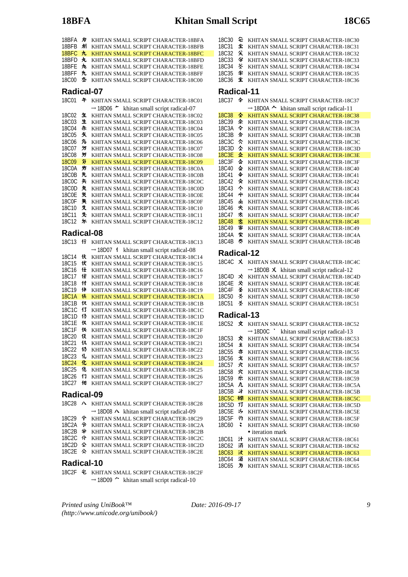# **18BFA Khitan Small Script 18C65**

| 18BFA        | 为              | KHITAN SMALL SCRIPT CHARACTER-18BFA                          |
|--------------|----------------|--------------------------------------------------------------|
| 18BFB        | 杊              | KHITAN SMALL SCRIPT CHARACTER-18BFB                          |
| 18BFC        | 九              | KHITAN SMALL SCRIPT CHARACTER-18BFC                          |
| 18BFD        | 丸              | KHITAN SMALL SCRIPT CHARACTER-18BFD                          |
| 18BFE        | 九              | KHITAN SMALL SCRIPT CHARACTER-18BFE                          |
| 18BFF        | 九              | KHITAN SMALL SCRIPT CHARACTER-18BFF                          |
| <b>18C00</b> | 型              | KHITAN SMALL SCRIPT CHARACTER-18C00                          |
| Radical-07   |                |                                                              |
| 18C01        | 午              | KHITAN SMALL SCRIPT CHARACTER-18C01                          |
|              |                | $\rightarrow$ 18D06 $\sim$<br>khitan small script radical-07 |
| 18C02        | 玍              | KHITAN SMALL SCRIPT CHARACTER-18C02                          |
| 18C03        | 生              | KHITAN SMALL SCRIPT CHARACTER-18C03                          |
| 18C04        | 朱              | KHITAN SMALL SCRIPT CHARACTER-18C04                          |
| 18C05        | 攵              | KHITAN SMALL SCRIPT CHARACTER-18C05                          |
| <b>18C06</b> | 兔              | KHITAN SMALL SCRIPT CHARACTER-18C06                          |
| 18C07        | ゟゔ             | KHITAN SMALL SCRIPT CHARACTER-18C07                          |
| <b>18C08</b> | 氕              | KHITAN SMALL SCRIPT CHARACTER-18C08                          |
| <b>18C09</b> | 笏              | KHITAN SMALL SCRIPT CHARACTER-18C09                          |
| 18C0A        | 步              | KHITAN SMALL SCRIPT CHARACTER-18C0A                          |
| <b>18C0B</b> | 先              | KHITAN SMALL SCRIPT CHARACTER-18C0B                          |
| <b>18C0C</b> | 矢              | KHITAN SMALL SCRIPT CHARACTER-18C0C                          |
| 18C0D        | 矢              | KHITAN SMALL SCRIPT CHARACTER-18C0D                          |
| <b>18C0E</b> | 煲              | KHITAN SMALL SCRIPT CHARACTER-18C0E                          |
| <b>18C0F</b> | 矢              | KHITAN SMALL SCRIPT CHARACTER-18C0F                          |
| 18C10        | 殳              | KHITAN SMALL SCRIPT CHARACTER-18C10                          |
| 18C11        | 失              | KHITAN SMALL SCRIPT CHARACTER-18C11                          |
| 18C12        | 尓              | KHITAN SMALL SCRIPT CHARACTER-18C12                          |
| Radical-08   |                |                                                              |
| 18C13        | 行              | KHITAN SMALL SCRIPT CHARACTER-18C13                          |
|              |                | khitan small script radical-08<br>$\rightarrow$ 18D07 1      |
| 18C14        | 伙              | KHITAN SMALL SCRIPT CHARACTER-18C14                          |
| 18C15        | 伏              | KHITAN SMALL SCRIPT CHARACTER-18C15                          |
| 18C16        | 仕              | KHITAN SMALL SCRIPT CHARACTER-18C16                          |
| 18C17        | 仕              | KHITAN SMALL SCRIPT CHARACTER-18C17                          |
| 18C18        | 付              | KHITAN SMALL SCRIPT CHARACTER-18C18                          |
| 18C19        | 仲              | KHITAN SMALL SCRIPT CHARACTER-18C19                          |
| <b>18C1A</b> | 伕              | KHITAN SMALL SCRIPT CHARACTER-18C1A                          |
| 18C1B        | 仅              | KHITAN SMALL SCRIPT CHARACTER-18C1B                          |
| 18C1C        | 13             | KHITAN SMALL SCRIPT CHARACTER-18C1C                          |
| 18C1D        | $\overline{3}$ | KHITAN SMALL SCRIPT CHARACTER-18C1D                          |
| 18C1E        | 仅              | KHITAN SMALL SCRIPT CHARACTER-18C1E                          |
| 18C1F        | 侭              | KHITAN SMALL SCRIPT CHARACTER-18C1F                          |
| 18C20        | 伎              | KHITAN SMALL SCRIPT CHARACTER-18C20                          |
| 18C21        | 仉              | KHITAN SMALL SCRIPT CHARACTER-18C21                          |
| 18C22        | 仍              | KHITAN SMALL SCRIPT CHARACTER-18C22                          |
| 18C23        | 化              | KHITAN SMALL SCRIPT CHARACTER-18C23                          |
| <b>18C24</b> | 化              | KHITAN SMALL SCRIPT CHARACTER-18C24                          |
| 18C25        | 化              | KHITAN SMALL SCRIPT CHARACTER-18C25                          |
| 18C26        | 仃              | KHITAN SMALL SCRIPT CHARACTER-18C26                          |
| 18C27        | 佃              | KHITAN SMALL SCRIPT CHARACTER-18C27                          |

**Radical-09**

|  | 18C28 A KHITAN SMALL SCRIPT CHARACTER-18C28                |
|--|------------------------------------------------------------|
|  | $\rightarrow$ 18D08 $\land$ khitan small script radical-09 |
|  | 18C29 今 KHITAN SMALL SCRIPT CHARACTER-18C29                |
|  | 18C2A 令 KHITAN SMALL SCRIPT CHARACTER-18C2A                |
|  | 18C2B 全 KHITAN SMALL SCRIPT CHARACTER-18C2B                |
|  | 18C2C 介 KHITAN SMALL SCRIPT CHARACTER-18C2C                |
|  | 18C2D & KHITAN SMALL SCRIPT CHARACTER-18C2D                |
|  | 18C2E $\land$ KHITAN SMALL SCRIPT CHARACTER-18C2E          |
|  |                                                            |

### **Radical-10**

18C2F & KHITAN SMALL SCRIPT CHARACTER-18C2F  $\rightarrow$  18D09  $\sim$  khitan small script radical-10

18C30 <sup>2</sup> KHITAN SMALL SCRIPT CHARACTER-18C30 18C31  $\textcircled{\texttt{F}}$  KHITAN SMALL SCRIPT CHARACTER-18C31 18C32 KHITAN SMALL SCRIPT CHARACTER-18C32 18C33 字 KHITAN SMALL SCRIPT CHARACTER-18C33 18C34 KHITAN SMALL SCRIPT CHARACTER-18C34 18C35  $\textcircled{\texttt{F}}$  KHITAN SMALL SCRIPT CHARACTER-18C35 18C36  $\textcircled{\texttt{F}}$  KHITAN SMALL SCRIPT CHARACTER-18C36 **Radical-11** 18C37  $\triangle$  KHITAN SMALL SCRIPT CHARACTER-18C37  $\rightarrow$  18D0A  $\sim$  khitan small script radical-11 18C38  $\triangleq$  KHITAN SMALL SCRIPT CHARACTER-18C38

|        |    | мнителя ови менент спимененти госло |
|--------|----|-------------------------------------|
| 18C39  | 소  | KHITAN SMALL SCRIPT CHARACTER-18C39 |
| 18C3A  | 令  | KHITAN SMALL SCRIPT CHARACTER-18C3A |
| 18C3B  | 分  | KHITAN SMALL SCRIPT CHARACTER-18C3B |
| 18C3C  | 亽  | KHITAN SMALL SCRIPT CHARACTER-18C3C |
| 18C3D  | 소  | KHITAN SMALL SCRIPT CHARACTER-18C3D |
| 18C.3F | 쇼  | KHITAN SMALL SCRIPT CHARACTER-18C3E |
| 18C3F  | 仚  | KHITAN SMALL SCRIPT CHARACTER-18C3F |
| 18C40  | 쇼  | KHITAN SMALL SCRIPT CHARACTER-18C40 |
| 18C41  | 伞  | KHITAN SMALL SCRIPT CHARACTER-18C41 |
| 18C.42 | 氽  | KHITAN SMALL SCRIPT CHARACTER-18C42 |
| 18C43  | 仒  | KHITAN SMALL SCRIPT CHARACTER-18C43 |
| 18C44  | 44 | KHITAN SMALL SCRIPT CHARACTER-18C44 |
| 18C45  | 坐  | KHITAN SMALL SCRIPT CHARACTER-18C45 |
| 18C46  | 火  | KHITAN SMALL SCRIPT CHARACTER-18C46 |
| 18C.47 | 火  | KHITAN SMALL SCRIPT CHARACTER-18C47 |
| 18C48  | 怂  | KHITAN SMALL SCRIPT CHARACTER-18C48 |
| 18C49  | 爹  | KHITAN SMALL SCRIPT CHARACTER-18C49 |
| 18C4A  | 尖  | KHITAN SMALL SCRIPT CHARACTER-18C4A |

#### 18C4B **\*** KHITAN SMALL SCRIPT CHARACTER-18C4B

### **Radical-12**

|  | 18C4C X KHITAN SMALL SCRIPT CHARACTER-18C4C          |
|--|------------------------------------------------------|
|  | $\rightarrow$ 18D0B X khitan small script radical-12 |
|  | 18C4D * KHITAN SMALL SCRIPT CHARACTER-18C4D          |
|  | 18C4E X KHITAN SMALL SCRIPT CHARACTER-18C4E          |
|  | 18C4F $\AA$ KHITAN SMALL SCRIPT CHARACTER-18C4F      |
|  | 18C50 X KHITAN SMALL SCRIPT CHARACTER-18C50          |
|  | 18C51 $\&$ KHITAN SMALL SCRIPT CHARACTER-18C51       |
|  |                                                      |

## **Radical-13**

| 18C <sub>52</sub>  | 文                                                                                     | KHITAN SMALL SCRIPT CHARACTER-18C52                           |
|--------------------|---------------------------------------------------------------------------------------|---------------------------------------------------------------|
|                    |                                                                                       | $\rightarrow$ 18D0C $\cdot$<br>khitan small script radical-13 |
| 18C53              | ጅ                                                                                     | KHITAN SMALL SCRIPT CHARACTER-18C53                           |
| 18C54              | Ì                                                                                     | KHITAN SMALL SCRIPT CHARACTER-18C54                           |
| <b>18C55</b>       | 朩                                                                                     | KHITAN SMALL SCRIPT CHARACTER-18C55                           |
| <b>18C56</b>       | 戈                                                                                     | KHITAN SMALL SCRIPT CHARACTER-18C56                           |
| <b>18C57</b>       | えんかん こうかい えんかん えんかん えんかん えんかんかん ごうかんかん かんこうかい えんこうかい かんこうかい えんこうかい えんこうかい かんこうかい アルマン | KHITAN SMALL SCRIPT CHARACTER-18C57                           |
| <b>18C58</b>       | 穴                                                                                     | KHITAN SMALL SCRIPT CHARACTER-18C58                           |
| 18C <sub>59</sub>  | 乐                                                                                     | KHITAN SMALL SCRIPT CHARACTER-18C59                           |
| 18C5A              | λ.                                                                                    | KHITAN SMALL SCRIPT CHARACTER-18C5A                           |
| 18C5B              | 才                                                                                     | KHITAN SMALL SCRIPT CHARACTER-18C5B                           |
| 18C <sub>5</sub> C | 搽                                                                                     | KHITAN SMALL SCRIPT CHARACTER-18C5C                           |
| 18C5D              | 13                                                                                    | KHITAN SMALL SCRIPT CHARACTER-18C5D                           |
| <b>18C5E</b>       | 讣                                                                                     | KHITAN SMALL SCRIPT CHARACTER-18C5E                           |
| 18C5F              | 礿                                                                                     | KHITAN SMALL SCRIPT CHARACTER-18C5F                           |
| 18C60              | ÷                                                                                     | KHITAN SMALL SCRIPT CHARACTER-18C60                           |
|                    |                                                                                       | • iteration mark                                              |
| 18C61              | 汁                                                                                     | KHITAN SMALL SCRIPT CHARACTER-18C61                           |
| 18C62              | 沰                                                                                     | KHITAN SMALL SCRIPT CHARACTER-18C62                           |
| <b>18C63</b>       | 汝                                                                                     | KHITAN SMALL SCRIPT CHARACTER-18C63                           |
| 18C64              | 洦                                                                                     | KHITAN SMALL SCRIPT CHARACTER-18C64                           |
| 18C65              | 为                                                                                     | KHITAN SMALL SCRIPT CHARACTER-18C65                           |

*Printed using UniBook™ (http://www.unicode.org/unibook/)*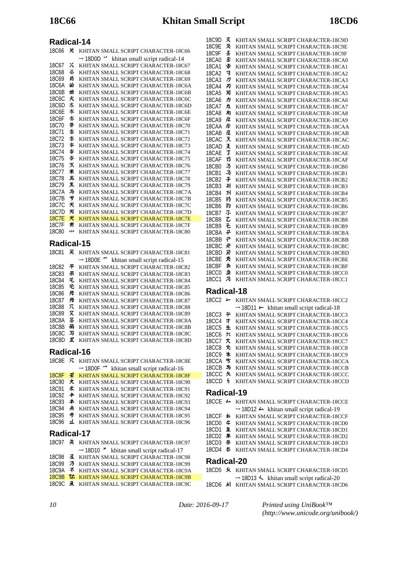## **Radical-14**

| 18C66             | 关 | KHITAN SMALL SCRIPT CHARACTER-18C66                        |
|-------------------|---|------------------------------------------------------------|
|                   |   | $\rightarrow$ 18D0D $\cdot$ khitan small script radical-14 |
| 18C67             | x | KHITAN SMALL SCRIPT CHARACTER-18C67                        |
| 18C68             | ぶ | KHITAN SMALL SCRIPT CHARACTER-18C68                        |
| 18C69             | 首 | KHITAN SMALL SCRIPT CHARACTER-18C69                        |
| 18C6A             | 畄 | KHITAN SMALL SCRIPT CHARACTER-18C6A                        |
| 18C6B             | 畄 | KHITAN SMALL SCRIPT CHARACTER-18C6B                        |
| 18C6C             | 火 | KHITAN SMALL SCRIPT CHARACTER-18C6C                        |
| 18C6D             | 氺 | KHITAN SMALL SCRIPT CHARACTER-18C6D                        |
| 18C6E             | 氺 | KHITAN SMALL SCRIPT CHARACTER-18C6E                        |
| 18C6F             | 氺 | KHITAN SMALL SCRIPT CHARACTER-18C6F                        |
| 18C70             | 芬 | KHITAN SMALL SCRIPT CHARACTER-18C70                        |
| 18C71             | 峇 | KHITAN SMALL SCRIPT CHARACTER-18C71                        |
| 18C72             | 氺 | KHITAN SMALL SCRIPT CHARACTER-18C72                        |
| 18C73             | 岑 | KHITAN SMALL SCRIPT CHARACTER-18C73                        |
| 18C <sub>74</sub> | 脊 | KHITAN SMALL SCRIPT CHARACTER-18C74                        |
| 18C75             | 呇 | KHITAN SMALL SCRIPT CHARACTER-18C75                        |
| 18C76             | 乆 | KHITAN SMALL SCRIPT CHARACTER-18C76                        |
| 18C77             | 米 | KHITAN SMALL SCRIPT CHARACTER-18C77                        |
| 18C78             | 半 | KHITAN SMALL SCRIPT CHARACTER-18C78                        |
| 18C <sub>79</sub> | 羔 | KHITAN SMALL SCRIPT CHARACTER-18C79                        |
| 18C7A             | 与 | KHITAN SMALL SCRIPT CHARACTER-18C7A                        |
| 18C7B             | ザ | KHITAN SMALL SCRIPT CHARACTER-18C7B                        |
| 18C.7C            | 关 | KHITAN SMALL SCRIPT CHARACTER-18C7C                        |
| 18C7D             | 米 | KHITAN SMALL SCRIPT CHARACTER-18C7D                        |
| <b>18C7E</b>      | 犬 | KHITAN SMALL SCRIPT CHARACTER-18C7E                        |
| 18C7F             | 黹 | KHITAN SMALL SCRIPT CHARACTER-18C7F                        |
| <b>18C80</b>      | w | KHITAN SMALL SCRIPT CHARACTER-18C80                        |
| - "               |   | ----                                                       |

### **Radical-15**

| 18C81        |   | KHITAN SMALL SCRIPT CHARACTER-18C81                       |
|--------------|---|-----------------------------------------------------------|
|              |   | $\rightarrow$ 18D0E $\sim$ khitan small script radical-15 |
| <b>18C82</b> | 平 | KHITAN SMALL SCRIPT CHARACTER-18C82                       |
| <b>18C83</b> | ポ | KHITAN SMALL SCRIPT CHARACTER-18C83                       |
| <b>18C84</b> | 乇 | KHITAN SMALL SCRIPT CHARACTER-18C84                       |
| <b>18C85</b> | 毛 | KHITAN SMALL SCRIPT CHARACTER-18C85                       |
| <b>18C86</b> | 光 | KHITAN SMALL SCRIPT CHARACTER-18C86                       |
| <b>18C87</b> | 吊 | KHITAN SMALL SCRIPT CHARACTER-18C87                       |
| <b>18C88</b> | π | KHITAN SMALL SCRIPT CHARACTER-18C88                       |
| 18C89        | Х | KHITAN SMALL SCRIPT CHARACTER-18C89                       |
| <b>18C8A</b> | 尽 | KHITAN SMALL SCRIPT CHARACTER-18C8A                       |
| <b>18C8B</b> | 甬 | KHITAN SMALL SCRIPT CHARACTER-18C8B                       |
| <b>18C8C</b> | 写 | KHITAN SMALL SCRIPT CHARACTER-18C8C                       |
| 18C.8D       | Ŧ | KHITAN SMALL SCRIPT CHARACTER-18C8D                       |
|              |   |                                                           |

## **Radical-16**

| 18C8F $\mathcal{R}$ |    | KHITAN SMALL SCRIPT CHARACTER-18C8E                              |
|---------------------|----|------------------------------------------------------------------|
|                     |    | $\rightarrow$ 18D0F $\rightarrow$ khitan small script radical-16 |
| <b>18C8F</b>        | 壬  | KHITAN SMALL SCRIPT CHARACTER-18C8F                              |
| <b>18C90</b>        | 犬  | KHITAN SMALL SCRIPT CHARACTER-18C90                              |
| 18C91               | 求  | KHITAN SMALL SCRIPT CHARACTER-18C91                              |
| 18C92               | 丰  | KHITAN SMALL SCRIPT CHARACTER-18C92                              |
| <b>18C93</b>        | ≭  | KHITAN SMALL SCRIPT CHARACTER-18C93                              |
| <b>18C94</b>        | 夬  | KHITAN SMALL SCRIPT CHARACTER-18C94                              |
| <b>18C95</b>        | 号  | KHITAN SMALL SCRIPT CHARACTER-18C95                              |
| <b>18C96</b>        | 1L | KHITAN SMALL SCRIPT CHARACTER-18C96                              |
| Radical-17          |    |                                                                  |
| 18C97               |    | <b>《 KHITAN SMALL SCRIPT CHARACTER-18C97</b>                     |
|                     |    | $\rightarrow$ 18D10 $\rightarrow$ khitan small script radical-17 |
| 18C98               | 조  | KHITAN SMALL SCRIPT CHARACTER-18C98                              |
| 18C99               | ヵ  | KHITAN SMALL SCRIPT CHARACTER-18C99                              |

|  | T0077 - 22 - KHITAIN SMALL SUKIET UHAKAUTEK-T80299 |
|--|----------------------------------------------------|
|  | 18C9A ネ KHITAN SMALL SCRIPT CHARACTER-18C9A        |

- 18C9B 7t KHITAN SMALL SCRIPT CHARACTER-18C9B
- 18C9C  $\lambda$  KHITAN SMALL SCRIPT CHARACTER-18C9C

| 18C9D        | 又  | KHITAN SMALL SCRIPT CHARACTER-18C9D |
|--------------|----|-------------------------------------|
| 18C9E        | 爻  | KHITAN SMALL SCRIPT CHARACTER-18C9E |
| 18C9F        | 圣  | KHITAN SMALL SCRIPT CHARACTER-18C9F |
| 18CA0        | 圣  | KHITAN SMALL SCRIPT CHARACTER-18CA0 |
| 18CA1        | 睿  | KHITAN SMALL SCRIPT CHARACTER-18CA1 |
| 18CA2        | ヨ  | KHITAN SMALL SCRIPT CHARACTER-18CA2 |
| 18CA3        | л  | KHITAN SMALL SCRIPT CHARACTER-18CA3 |
| 18CA4        | 刃  | KHITAN SMALL SCRIPT CHARACTER-18CA4 |
| 18CA5        | 习  | KHITAN SMALL SCRIPT CHARACTER-18CA5 |
| 18C.A6       | ヵ  | KHITAN SMALL SCRIPT CHARACTER-18CA6 |
| 18CA7        | カ  | KHITAN SMALL SCRIPT CHARACTER-18CA7 |
| 18CA8        | 扣  | KHITAN SMALL SCRIPT CHARACTER-18CA8 |
| 18CA9        | 戽  | KHITAN SMALL SCRIPT CHARACTER-18CA9 |
| 18CAA        | 异  | KHITAN SMALL SCRIPT CHARACTER-18CAA |
| 18CAB        | 屋  | KHITAN SMALL SCRIPT CHARACTER-18CAB |
| 18CAC        | ヌ  | KHITAN SMALL SCRIPT CHARACTER-18CAC |
| 18CAD        | 爻  | KHITAN SMALL SCRIPT CHARACTER-18CAD |
| 18CAE        | 了  | KHITAN SMALL SCRIPT CHARACTER-18CAE |
| 18CAF        | 33 | KHITAN SMALL SCRIPT CHARACTER-18CAF |
| 18CB0        | 孑  | KHITAN SMALL SCRIPT CHARACTER-18CB0 |
| 18CB1        | 马  | KHITAN SMALL SCRIPT CHARACTER-18CB1 |
| 18CB2        | 子  | KHITAN SMALL SCRIPT CHARACTER-18CB2 |
| 18CB3        | 引  | KHITAN SMALL SCRIPT CHARACTER-18CB3 |
| 18CB4        | 31 | KHITAN SMALL SCRIPT CHARACTER-18CB4 |
| 18CB5        | 犸  | KHITAN SMALL SCRIPT CHARACTER-18CB5 |
| 18CB6        | 犳  | KHITAN SMALL SCRIPT CHARACTER-18CB6 |
| 18CB7        | 不  | KHITAN SMALL SCRIPT CHARACTER-18CB7 |
| 18CB8        | て  | KHITAN SMALL SCRIPT CHARACTER-18CB8 |
| 18CB9        | そ  | KHITAN SMALL SCRIPT CHARACTER-18CB9 |
| 18CBA        | 予  | KHITAN SMALL SCRIPT CHARACTER-18CBA |
| 18CBB        | 군  | KHITAN SMALL SCRIPT CHARACTER-18CBB |
| 18CBC        | 곳  | KHITAN SMALL SCRIPT CHARACTER-18CBC |
| 18CBD        | 곬  | KHITAN SMALL SCRIPT CHARACTER-18CBD |
| 18CBE        | 氼  | KHITAN SMALL SCRIPT CHARACTER-18CBE |
| 18CBF        | 术  | KHITAN SMALL SCRIPT CHARACTER-18CBF |
| <b>18CC0</b> | 丠  | KHITAN SMALL SCRIPT CHARACTER-18CC0 |
| 18CC1        | 尕  | KHITAN SMALL SCRIPT CHARACTER-18CC1 |
|              |    |                                     |

## **Radical-18**

| 18CC2      |    | KHITAN SMALL SCRIPT CHARACTER-18CC2                             |
|------------|----|-----------------------------------------------------------------|
|            |    | $\rightarrow$ 18D11 $\leftarrow$ khitan small script radical-18 |
| 18CC3      | ゙゚ | KHITAN SMALL SCRIPT CHARACTER-18CC3                             |
| 18CC4      | ォ  | KHITAN SMALL SCRIPT CHARACTER-18CC4                             |
| 18CC5      | 4  | KHITAN SMALL SCRIPT CHARACTER-18CC5                             |
| 18CC6      | ゠  | KHITAN SMALL SCRIPT CHARACTER-18CC6                             |
| 18CC7      | 大  | KHITAN SMALL SCRIPT CHARACTER-18CC7                             |
| 18CC8      | 大  | KHITAN SMALL SCRIPT CHARACTER-18CC8                             |
| 18CC9      | 朱  | KHITAN SMALL SCRIPT CHARACTER-18CC9                             |
| 18CCA 5    |    | KHITAN SMALL SCRIPT CHARACTER-18CCA                             |
| 18CCB 与    |    | KHITAN SMALL SCRIPT CHARACTER-18CCB                             |
| 18CCC 久    |    | KHITAN SMALL SCRIPT CHARACTER-18CCC                             |
| $18$ CCD   | ц  | KHITAN SMALL SCRIPT CHARACTER-18CCD                             |
| R. I. I JA |    |                                                                 |

# **Radical-19**

|  | 18CCE - KHITAN SMALL SCRIPT CHARACTER-18CCE                      |
|--|------------------------------------------------------------------|
|  | $\rightarrow$ 18D12 $\rightarrow$ khitan small script radical-19 |
|  | 18CCF & KHITAN SMALL SCRIPT CHARACTER-18CCF                      |
|  | 18CD0 $\text{\textsterling}$ KHITAN SMALL SCRIPT CHARACTER-18CD0 |
|  | 18CD1 $\text{\textsterling}$ KHITAN SMALL SCRIPT CHARACTER-18CD1 |
|  | 18CD2 * KHITAN SMALL SCRIPT CHARACTER-18CD2                      |
|  | 18CD3 条 KHITAN SMALL SCRIPT CHARACTER-18CD3                      |
|  | 18CD4 <b>*</b> KHITAN SMALL SCRIPT CHARACTER-18CD4               |
|  |                                                                  |

## **Radical-20**

|   | 18CD5 $\overline{\mathcal{H}}$ KHITAN SMALL SCRIPT CHARACTER-18CD5 |  |
|---|--------------------------------------------------------------------|--|
| . | $\rightarrow$ 18D13 $\sim$ khitan small script radical-20          |  |

18CD6 & KHITAN SMALL SCRIPT CHARACTER-18CD6

*10 Date: 2016-09-17*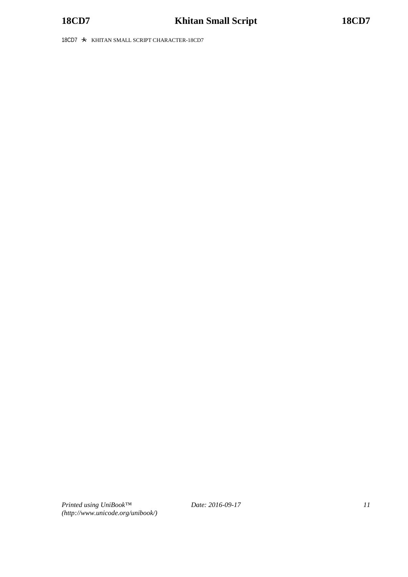18CD7  $\cdot$  KHITAN SMALL SCRIPT CHARACTER-18CD7

*Printed using UniBook™ (http://www.unicode.org/unibook/)*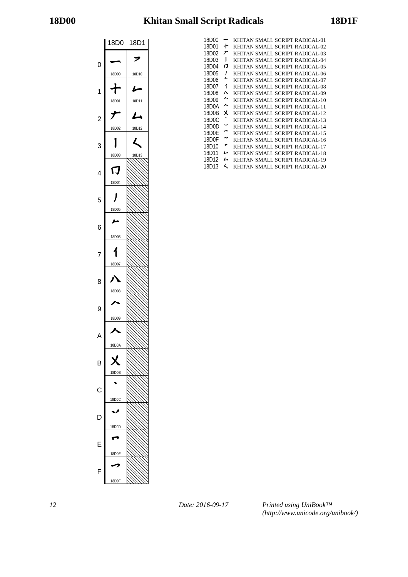# **18D00 Khitan Small Script Radicals 18D1F**



| 18D00 |    | KHITAN SMALL SCRIPT RADICAL-01 |
|-------|----|--------------------------------|
| 18D01 | ╈  | KHITAN SMALL SCRIPT RADICAL-02 |
| 18D02 | ナ  | KHITAN SMALL SCRIPT RADICAL-03 |
| 18D03 | ı  | KHITAN SMALL SCRIPT RADICAL-04 |
| 18D04 | IJ | KHITAN SMALL SCRIPT RADICAL-05 |
| 18D05 | ı  | KHITAN SMALL SCRIPT RADICAL-06 |
| 18D06 | ∼  | KHITAN SMALL SCRIPT RADICAL-07 |
| 18D07 | 1  | KHITAN SMALL SCRIPT RADICAL-08 |
| 18D08 | Л  | KHITAN SMALL SCRIPT RADICAL-09 |
| 18D09 | ∼  | KHITAN SMALL SCRIPT RADICAL-10 |
| 18D0A | ᄉ  | KHITAN SMALL SCRIPT RADICAL-11 |
| 18D0B | χ  | KHITAN SMALL SCRIPT RADICAL-12 |
| 18D0C |    | KHITAN SMALL SCRIPT RADICAL-13 |
| 18D0D | v  | KHITAN SMALL SCRIPT RADICAL-14 |
| 18D0F | ⊷  | KHITAN SMALL SCRIPT RADICAL-15 |
| 18D0F | ⇁  | KHITAN SMALL SCRIPT RADICAL-16 |
| 18D10 | ァ  | KHITAN SMALL SCRIPT RADICAL-17 |
| 18D11 | ı  | KHITAN SMALL SCRIPT RADICAL-18 |
| 18D12 | ム  | KHITAN SMALL SCRIPT RADICAL-19 |
| 18D13 | L  | KHITAN SMALL SCRIPT RADICAL-20 |

*12 Date: 2016-09-17*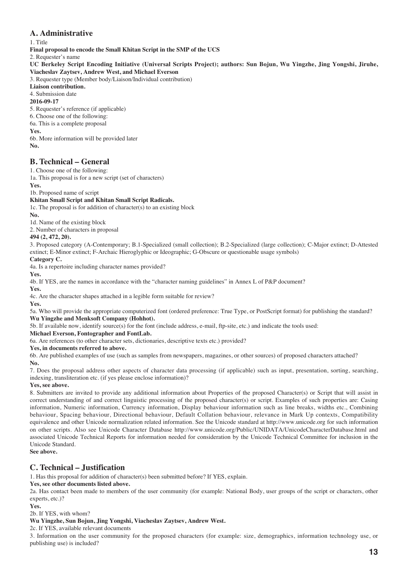## **A. Administrative**

#### 1. Title

**Final proposal to encode the Small Khitan Script in the SMP of the UCS**

2. Requester's name

**UC Berkeley Script Encoding Initiative (Universal Scripts Project); authors: Sun Bojun, Wu Yingzhe, Jing Yongshi, Jiruhe, Viacheslav Zaytsev, Andrew West, and Michael Everson**

3. Requester type (Member body/Liaison/Individual contribution)

**Liaison contribution.**

4. Submission date

## **2016-09-17**

5. Requester's reference (if applicable)

6. Choose one of the following:

6a. This is a complete proposal

## **Yes.**

6b. More information will be provided later **No.**

## **B. Technical – General**

1. Choose one of the following:

1a. This proposal is for a new script (set of characters)

**Yes.**

1b. Proposed name of script

#### **Khitan Small Script and Khitan Small Script Radicals.**

1c. The proposal is for addition of character(s) to an existing block

**No.**

1d. Name of the existing block

2. Number of characters in proposal

## **494 (2, 472, 20).**

3. Proposed category (A-Contemporary; B.1-Specialized (small collection); B.2-Specialized (large collection); C-Major extinct; D-Attested extinct; E-Minor extinct; F-Archaic Hieroglyphic or Ideographic; G-Obscure or questionable usage symbols)

## **Category C.**

4a. Is a repertoire including character names provided?

**Yes.**

4b. If YES, are the names in accordance with the "character naming guidelines" in Annex L of P&P document?

**Yes.**

4c. Are the character shapes attached in a legible form suitable for review?

**Yes.**

5a. Who will provide the appropriate computerized font (ordered preference: True Type, or PostScript format) for publishing the standard? **Wu Yingzhe and Menksoft Company (Hohhot).** 

5b. If available now, identify source(s) for the font (include address, e-mail, ftp-site, etc.) and indicate the tools used:

**Michael Everson, Fontographer and FontLab.**

6a. Are references (to other character sets, dictionaries, descriptive texts etc.) provided?

**Yes, in documents referred to above.**

6b. Are published examples of use (such as samples from newspapers, magazines, or other sources) of proposed characters attached? **No.**

7. Does the proposal address other aspects of character data processing (if applicable) such as input, presentation, sorting, searching, indexing, transliteration etc. (if yes please enclose information)?

#### **Yes, see above.**

8. Submitters are invited to provide any additional information about Properties of the proposed Character(s) or Script that will assist in correct understanding of and correct linguistic processing of the proposed character(s) or script. Examples of such properties are: Casing information, Numeric information, Currency information, Display behaviour information such as line breaks, widths etc., Combining behaviour, Spacing behaviour, Directional behaviour, Default Collation behaviour, relevance in Mark Up contexts, Compatibility equivalence and other Unicode normalization related information. See the Unicode standard at http://www.unicode.org for such information on other scripts. Also see Unicode Character Database http://www.unicode.org/Public/UNIDATA/UnicodeCharacterDatabase.html and associated Unicode Technical Reports for information needed for consideration by the Unicode Technical Committee for inclusion in the Unicode Standard.

**See above.**

## **C. Technical – Justification**

1. Has this proposal for addition of character(s) been submitted before? If YES, explain.

#### **Yes, see other documents listed above.**

2a. Has contact been made to members of the user community (for example: National Body, user groups of the script or characters, other experts, etc.)?

#### **Yes.**

#### 2b. If YES, with whom?

### **Wu Yingzhe, Sun Bojun, Jing Yongshi, Viacheslav Zaytsev, Andrew West.**

2c. If YES, available relevant documents

3. Information on the user community for the proposed characters (for example: size, demographics, information technology use, or publishing use) is included?